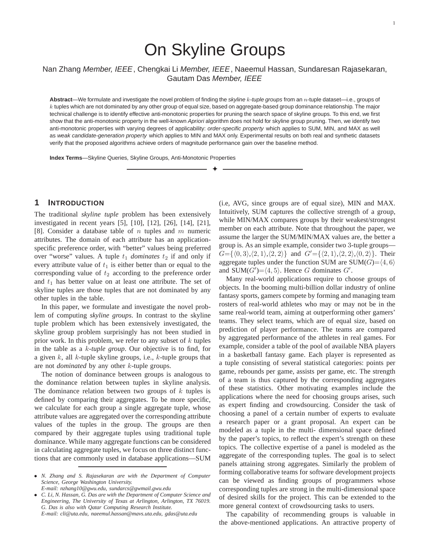# On Skyline Groups

# Nan Zhang Member, IEEE, Chengkai Li Member, IEEE, Naeemul Hassan, Sundaresan Rajasekaran, Gautam Das Member, IEEE

**Abstract**—We formulate and investigate the novel problem of finding the skyline k-tuple groups from an n-tuple dataset—i.e., groups of  $k$  tuples which are not dominated by any other group of equal size, based on aggregate-based group dominance relationship. The major technical challenge is to identify effective anti-monotonic properties for pruning the search space of skyline groups. To this end, we first show that the anti-monotonic property in the well-known Apriori algorithm does not hold for skyline group pruning. Then, we identify two anti-monotonic properties with varying degrees of applicability: order-specific property which applies to SUM, MIN, and MAX as well as weak candidate-generation property which applies to MIN and MAX only. Experimental results on both real and synthetic datasets verify that the proposed algorithms achieve orders of magnitude performance gain over the baseline method.

✦

**Index Terms**—Skyline Queries, Skyline Groups, Anti-Monotonic Properties

# **1 INTRODUCTION**

The traditional *skyline tuple* problem has been extensively investigated in recent years [5], [10], [12], [26], [14], [21], [8]. Consider a database table of  $n$  tuples and  $m$  numeric attributes. The domain of each attribute has an applicationspecific preference order, with "better" values being preferred over "worse" values. A tuple  $t_1$  *dominates*  $t_2$  if and only if every attribute value of  $t_1$  is either better than or equal to the corresponding value of  $t_2$  according to the preference order and  $t_1$  has better value on at least one attribute. The set of skyline tuples are those tuples that are not dominated by any other tuples in the table.

In this paper, we formulate and investigate the novel problem of computing *skyline groups*. In contrast to the skyline tuple problem which has been extensively investigated, the skyline group problem surprisingly has not been studied in prior work. In this problem, we refer to any subset of  $k$  tuples in the table as a k*-tuple group*. Our objective is to find, for a given  $k$ , all  $k$ -tuple skyline groups, i.e.,  $k$ -tuple groups that are not *dominated* by any other k-tuple groups.

The notion of dominance between groups is analogous to the dominance relation between tuples in skyline analysis. The dominance relation between two groups of  $k$  tuples is defined by comparing their aggregates. To be more specific, we calculate for each group a single aggregate tuple, whose attribute values are aggregated over the corresponding attribute values of the tuples in the group. The groups are then compared by their aggregate tuples using traditional tuple dominance. While many aggregate functions can be considered in calculating aggregate tuples, we focus on three distinct functions that are commonly used in database applications—SUM (i.e, AVG, since groups are of equal size), MIN and MAX. Intuitively, SUM captures the collective strength of a group, while MIN/MAX compares groups by their weakest/strongest member on each attribute. Note that throughout the paper, we assume the larger the SUM/MIN/MAX values are, the better a group is. As an simple example, consider two 3-tuple groups—  $G=\{(0, 3), (2, 1), (2, 2)\}\$ and  $G'=\{(2, 1), (2, 2), (0, 2)\}\$ . Their aggregate tuples under the function SUM are SUM( $G$ )= $\langle 4, 6 \rangle$ and  $SUM(G') = \langle 4, 5 \rangle$ . Hence G dominates G'.

Many real-world applications require to choose groups of objects. In the booming multi-billion dollar industry of online fantasy sports, gamers compete by forming and managing team rosters of real-world athletes who may or may not be in the same real-world team, aiming at outperforming other gamers' teams. They select teams, which are of equal size, based on prediction of player performance. The teams are compared by aggregated performance of the athletes in real games. For example, consider a table of the pool of available NBA players in a basketball fantasy game. Each player is represented as a tuple consisting of several statistical categories: points per game, rebounds per game, assists per game, etc. The strength of a team is thus captured by the corresponding aggregates of these statistics. Other motivating examples include the applications where the need for choosing groups arises, such as expert finding and crowdsourcing. Consider the task of choosing a panel of a certain number of experts to evaluate a research paper or a grant proposal. An expert can be modeled as a tuple in the multi- dimensional space defined by the paper's topics, to reflect the expert's strength on these topics. The collective expertise of a panel is modeled as the aggregate of the corresponding tuples. The goal is to select panels attaining strong aggregates. Similarly the problem of forming collaborative teams for software development projects can be viewed as finding groups of programmers whose corresponding tuples are strong in the multi-dimensional space of desired skills for the project. This can be extended to the more general context of crowdsourcing tasks to users.

The capability of recommending groups is valuable in the above-mentioned applications. An attractive property of

<sup>•</sup> *N. Zhang and S. Rajasekaran are with the Department of Computer Science, George Washington University.*

*E-mail: nzhang10@gwu.edu, sundarcs@gwmail.gwu.edu*

<sup>•</sup> *C. Li, N. Hassan, G. Das are with the Department of Computer Science and Engineering, The University of Texas at Arlington, Arlington, TX 76019. G. Das is also with Qatar Computing Research Institute. E-mail: cli@uta.edu, naeemul.hassan@mavs.uta.edu, gdas@uta.edu*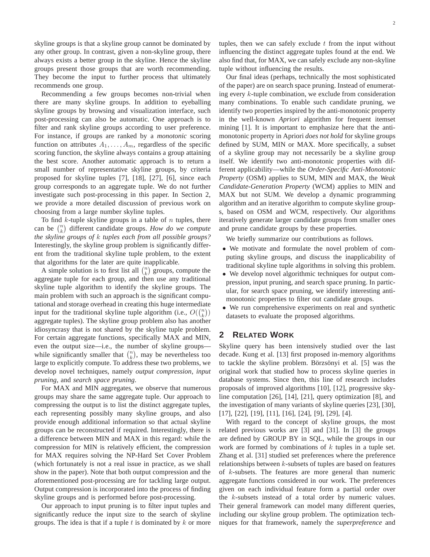skyline groups is that a skyline group cannot be dominated by any other group. In contrast, given a non-skyline group, there always exists a better group in the skyline. Hence the skyline groups present those groups that are worth recommending. They become the input to further process that ultimately recommends one group.

Recommending a few groups becomes non-trivial when there are many skyline groups. In addition to eyeballing skyline groups by browsing and visualization interface, such post-processing can also be automatic. One approach is to filter and rank skyline groups according to user preference. For instance, if groups are ranked by a *monotonic* scoring function on attributes  $A_1, \ldots, A_m$ , regardless of the specific scoring function, the skyline always contains a group attaining the best score. Another automatic approach is to return a small number of representative skyline groups, by criteria proposed for skyline tuples [7], [18], [27], [6], since each group corresponds to an aggregate tuple. We do not further investigate such post-processing in this paper. In Section 2, we provide a more detailed discussion of previous work on choosing from a large number skyline tuples.

To find  $k$ -tuple skyline groups in a table of  $n$  tuples, there can be  $\binom{n}{k}$  different candidate groups. *How do we compute the skyline groups of* k *tuples each from all possible groups?* Interestingly, the skyline group problem is significantly different from the traditional skyline tuple problem, to the extent that algorithms for the later are quite inapplicable.

A simple solution is to first list all  $\binom{n}{k}$  groups, compute the aggregate tuple for each group, and then use any traditional skyline tuple algorithm to identify the skyline groups. The main problem with such an approach is the significant computational and storage overhead in creating this huge intermediate input for the traditional skyline tuple algorithm (i.e.,  $O({n \choose k})$ ) aggregate tuples). The skyline group problem also has another idiosyncrasy that is not shared by the skyline tuple problem. For certain aggregate functions, specifically MAX and MIN, even the output size—i.e., the number of skyline groups while significantly smaller that  $\binom{n}{k}$ , may be nevertheless too large to explicitly compute. To address these two problems, we develop novel techniques, namely *output compression*, *input pruning*, and *search space pruning*.

For MAX and MIN aggregates, we observe that numerous groups may share the same aggregate tuple. Our approach to compressing the output is to list the distinct aggregate tuples, each representing possibly many skyline groups, and also provide enough additional information so that actual skyline groups can be reconstructed if required. Interestingly, there is a difference between MIN and MAX in this regard: while the compression for MIN is relatively efficient, the compression for MAX requires solving the NP-Hard Set Cover Problem (which fortunately is not a real issue in practice, as we shall show in the paper). Note that both output compression and the aforementioned post-processing are for tackling large output. Output compression is incorporated into the process of finding skyline groups and is performed before post-processing.

Our approach to input pruning is to filter input tuples and significantly reduce the input size to the search of skyline groups. The idea is that if a tuple  $t$  is dominated by  $k$  or more tuples, then we can safely exclude  $t$  from the input without influencing the distinct aggregate tuples found at the end. We also find that, for MAX, we can safely exclude any non-skyline tuple without influencing the results.

Our final ideas (perhaps, technically the most sophisticated of the paper) are on search space pruning. Instead of enumerating every k-tuple combination, we exclude from consideration many combinations. To enable such candidate pruning, we identify two properties inspired by the anti-monotonic property in the well-known *Apriori* algorithm for frequent itemset mining [1]. It is important to emphasize here that the antimonotonic property in Apriori *does not hold* for skyline groups defined by SUM, MIN or MAX. More specifically, a subset of a skyline group may not necessarily be a skyline group itself. We identify two anti-monotonic properties with different applicability—while the *Order-Specific Anti-Monotonic Property* (OSM) applies to SUM, MIN and MAX, the *Weak Candidate-Generation Property* (WCM) applies to MIN and MAX but not SUM. We develop a dynamic programming algorithm and an iterative algorithm to compute skyline groups, based on OSM and WCM, respectively. Our algorithms iteratively generate larger candidate groups from smaller ones and prune candidate groups by these properties.

We briefly summarize our contributions as follows.

- We motivate and formulate the novel problem of computing skyline groups, and discuss the inapplicability of traditional skyline tuple algorithms in solving this problem.
- We develop novel algorithmic techniques for output compression, input pruning, and search space pruning. In particular, for search space pruning, we identify interesting antimonotonic properties to filter out candidate groups.
- We run comprehensive experiments on real and synthetic datasets to evaluate the proposed algorithms.

#### **2 RELATED WORK**

Skyline query has been intensively studied over the last decade. Kung et al. [13] first proposed in-memory algorithms to tackle the skyline problem. Börzsönyi et al. [5] was the original work that studied how to process skyline queries in database systems. Since then, this line of research includes proposals of improved algorithms [10], [12], progressive skyline computation [26], [14], [21], query optimization [8], and the investigation of many variants of skyline queries [23], [30], [17], [22], [19], [11], [16], [24], [9], [29], [4].

With regard to the concept of skyline groups, the most related previous works are [3] and [31]. In [3] the groups are defined by GROUP BY in SQL, while the groups in our work are formed by combinations of  $k$  tuples in a tuple set. Zhang et al. [31] studied set preferences where the preference relationships between k-subsets of tuples are based on features of k-subsets. The features are more general than numeric aggregate functions considered in our work. The preferences given on each individual feature form a partial order over the k-subsets instead of a total order by numeric values. Their general framework can model many different queries, including our skyline group problem. The optimization techniques for that framework, namely the *superpreference* and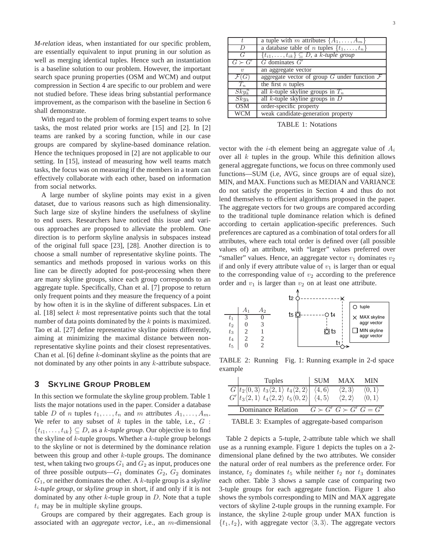*M-relation* ideas, when instantiated for our specific problem, are essentially equivalent to input pruning in our solution as well as merging identical tuples. Hence such an instantiation is a baseline solution to our problem. However, the important search space pruning properties (OSM and WCM) and output compression in Section 4 are specific to our problem and were not studied before. These ideas bring substantial performance improvement, as the comparison with the baseline in Section 6 shall demonstrate.

With regard to the problem of forming expert teams to solve tasks, the most related prior works are [15] and [2]. In [2] teams are ranked by a scoring function, while in our case groups are compared by skyline-based dominance relation. Hence the techniques proposed in [2] are not applicable to our setting. In [15], instead of measuring how well teams match tasks, the focus was on measuring if the members in a team can effectively collaborate with each other, based on information from social networks.

A large number of skyline points may exist in a given dataset, due to various reasons such as high dimensionality. Such large size of skyline hinders the usefulness of skyline to end users. Researchers have noticed this issue and various approaches are proposed to alleviate the problem. One direction is to perform skyline analysis in subspaces instead of the original full space [23], [28]. Another direction is to choose a small number of representative skyline points. The semantics and methods proposed in various works on this line can be directly adopted for post-processing when there are many skyline groups, since each group corresponds to an aggregate tuple. Specifically, Chan et al. [7] propose to return only frequent points and they measure the frequency of a point by how often it is in the skyline of different subspaces. Lin et al. [18] select  $k$  most representative points such that the total number of data points dominated by the  $k$  points is maximized. Tao et al. [27] define representative skyline points differently, aiming at minimizing the maximal distance between nonrepresentative skyline points and their closest representatives. Chan et al. [6] define  $k$ -dominant skyline as the points that are not dominated by any other points in any k-attribute subspace.

# **3 SKYLINE GROUP PROBLEM**

In this section we formulate the skyline group problem. Table 1 lists the major notations used in the paper. Consider a database table D of n tuples  $t_1, \ldots, t_n$  and m attributes  $A_1, \ldots, A_m$ . We refer to any subset of  $k$  tuples in the table, i.e.,  $G$ :  $\{t_{i1}, \ldots, t_{ik}\} \subseteq D$ , as a k-tuple group. Our objective is to find the skyline of  $k$ -tuple groups. Whether a  $k$ -tuple group belongs to the skyline or not is determined by the dominance relation between this group and other  $k$ -tuple groups. The dominance test, when taking two groups  $G_1$  and  $G_2$  as input, produces one of three possible outputs— $G_1$  dominates  $G_2$ ,  $G_2$  dominates  $G_1$ , or neither dominates the other. A k-tuple group is a *skyline* k*-tuple group*, or *skyline group* in short, if and only if it is not dominated by any other  $k$ -tuple group in  $D$ . Note that a tuple  $t_i$  may be in multiple skyline groups.

Groups are compared by their aggregates. Each group is associated with an *aggregate vector*, i.e., an m-dimensional

| t                  | a tuple with m attributes $\{A_1, \ldots, A_m\}$           |
|--------------------|------------------------------------------------------------|
| D                  | a database table of <i>n</i> tuples $\{t_1, \ldots, t_n\}$ |
| $\overline{G}$     | $\{t_{i1},\ldots,t_{ik}\}\subseteq D$ , a k-tuple group    |
| $G \succ G'$       | $G$ dominates $G'$                                         |
| $\eta$             | an aggregate vector                                        |
| $\mathcal{F}(G)$   | aggregate vector of group G under function $\mathcal F$    |
| $T_n$              | the first $n$ tuples                                       |
| $Sky_k^n$          | all k-tuple skyline groups in $T_n$                        |
| $\overline{Sky}_k$ | all $k$ -tuple skyline groups in $D$                       |
| <b>OSM</b>         | order-specific property                                    |
| WCM                | weak candidate-generation property                         |

TABLE 1: Notations

vector with the *i*-th element being an aggregate value of  $A_i$ over all  $k$  tuples in the group. While this definition allows general aggregate functions, we focus on three commonly used functions—SUM (i.e, AVG, since groups are of equal size), MIN, and MAX. Functions such as MEDIAN and VARIANCE do not satisfy the properties in Section 4 and thus do not lend themselves to efficient algorithms proposed in the paper. The aggregate vectors for two groups are compared according to the traditional tuple dominance relation which is defined according to certain application-specific preferences. Such preferences are captured as a combination of total orders for all attributes, where each total order is defined over (all possible values of) an attribute, with "larger" values preferred over "smaller" values. Hence, an aggregate vector  $v_1$  dominates  $v_2$ if and only if every attribute value of  $v_1$  is larger than or equal to the corresponding value of  $v_2$  according to the preference order and  $v_1$  is larger than  $v_2$  on at least one attribute.



TABLE 2: Running Fig. 1: Running example in 2-d space example

| Tuples                                                                                                                                                                                                                                                    | l sum | <b>MAX</b>                         | MIN   |
|-----------------------------------------------------------------------------------------------------------------------------------------------------------------------------------------------------------------------------------------------------------|-------|------------------------------------|-------|
|                                                                                                                                                                                                                                                           |       | $\langle 2,3 \rangle$              | (0,1) |
| $\begin{array}{c c c c c c} \hline G & t_2\langle 0,3 \rangle & t_3\langle 2,1 \rangle & t_4\langle 2,2 \rangle & \langle 4,6 \rangle \\ G' & t_3\langle 2,1 \rangle & t_4\langle 2,2 \rangle & t_5\langle 0,2 \rangle & \langle 4,5 \rangle \end{array}$ |       | $\langle 2, 2 \rangle$             |       |
| Dominance Relation                                                                                                                                                                                                                                        |       | $G \succ G'$ $G \succ G'$ $G = G'$ |       |

TABLE 3: Examples of aggregate-based comparison

Table 2 depicts a 5-tuple, 2-attribute table which we shall use as a running example. Figure 1 depicts the tuples on a 2 dimensional plane defined by the two attributes. We consider the natural order of real numbers as the preference order. For instance,  $t_2$  dominates  $t_5$  while neither  $t_2$  nor  $t_3$  dominates each other. Table 3 shows a sample case of comparing two 3-tuple groups for each aggregate function. Figure 1 also shows the symbols corresponding to MIN and MAX aggregate vectors of skyline 2-tuple groups in the running example. For instance, the skyline 2-tuple group under MAX function is  $\{t_1, t_2\}$ , with aggregate vector  $\langle 3, 3 \rangle$ . The aggregate vectors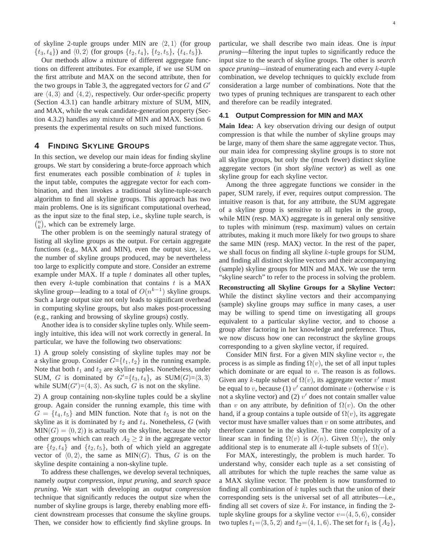of skyline 2-tuple groups under MIN are  $\langle 2, 1 \rangle$  (for group  $\{t_3, t_4\}$  and  $\langle 0, 2 \rangle$  (for groups  $\{t_2, t_4\}$ ,  $\{t_2, t_5\}$ ,  $\{t_4, t_5\}$ ).

Our methods allow a mixture of different aggregate functions on different attributes. For example, if we use SUM on the first attribute and MAX on the second attribute, then for the two groups in Table 3, the aggregated vectors for  $G$  and  $G'$ are  $\langle 4, 3 \rangle$  and  $\langle 4, 2 \rangle$ , respectively. Our order-specific property (Section 4.3.1) can handle arbitrary mixture of SUM, MIN, and MAX, while the weak candidate-generation property (Section 4.3.2) handles any mixture of MIN and MAX. Section 6 presents the experimental results on such mixed functions.

## **4 FINDING SKYLINE GROUPS**

In this section, we develop our main ideas for finding skyline groups. We start by considering a brute-force approach which first enumerates each possible combination of  $k$  tuples in the input table, computes the aggregate vector for each combination, and then invokes a traditional skyline-tuple-search algorithm to find all skyline groups. This approach has two main problems. One is its significant computational overhead, as the input size to the final step, i.e., skyline tuple search, is  $\binom{n}{k}$ , which can be extremely large.

The other problem is on the seemingly natural strategy of listing all skyline groups as the output. For certain aggregate functions (e.g., MAX and MIN), even the output size, i.e., the number of skyline groups produced, may be nevertheless too large to explicitly compute and store. Consider an extreme example under MAX. If a tuple  $t$  dominates all other tuples, then every  $k$ -tuple combination that contains  $t$  is a MAX skyline group—leading to a total of  $O(n^{k-1})$  skyline groups. Such a large output size not only leads to significant overhead in computing skyline groups, but also makes post-processing (e.g., ranking and browsing of skyline groups) costly.

Another idea is to consider skyline tuples only. While seemingly intuitive, this idea will not work correctly in general. In particular, we have the following two observations:

1) A group solely consisting of skyline tuples may *not* be a skyline group. Consider  $G = \{t_1, t_2\}$  in the running example. Note that both  $t_1$  and  $t_2$  are skyline tuples. Nonetheless, under SUM, G is dominated by  $G' = \{t_3, t_4\}$ , as  $SUM(G) = \langle 3, 3 \rangle$ while SUM(G')= $\langle 4, 3 \rangle$ . As such, G is not on the skyline.

2) A group containing non-skyline tuples could be a skyline group. Again consider the running example, this time with  $G = \{t_4, t_5\}$  and MIN function. Note that  $t_5$  is not on the skyline as it is dominated by  $t_2$  and  $t_4$ . Nonetheless,  $G$  (with  $MIN(G) = (0, 2)$  is actually on the skyline, because the only other groups which can reach  $A_2 \geq 2$  in the aggregate vector are  $\{t_2, t_4\}$  and  $\{t_2, t_5\}$ , both of which yield an aggregate vector of  $(0, 2)$ , the same as MIN(G). Thus, G is on the skyline despite containing a non-skyline tuple.

To address these challenges, we develop several techniques, namely *output compression*, *input pruning*, and *search space pruning*. We start with developing an *output compression* technique that significantly reduces the output size when the number of skyline groups is large, thereby enabling more efficient downstream processes that consume the skyline groups. Then, we consider how to efficiently find skyline groups. In particular, we shall describe two main ideas. One is *input pruning*—filtering the input tuples to significantly reduce the input size to the search of skyline groups. The other is *search space pruning*—instead of enumerating each and every k-tuple combination, we develop techniques to quickly exclude from consideration a large number of combinations. Note that the two types of pruning techniques are transparent to each other and therefore can be readily integrated.

### **4.1 Output Compression for MIN and MAX**

**Main Idea:** A key observation driving our design of output compression is that while the number of skyline groups may be large, many of them share the same aggregate vector. Thus, our main idea for compressing skyline groups is to store not all skyline groups, but only the (much fewer) distinct skyline aggregate vectors (in short *skyline vector*) as well as one skyline group for each skyline vector.

Among the three aggregate functions we consider in the paper, SUM rarely, if ever, requires output compression. The intuitive reason is that, for any attribute, the SUM aggregate of a skyline group is sensitive to all tuples in the group, while MIN (resp. MAX) aggregate is in general only sensitive to tuples with minimum (resp. maximum) values on certain attributes, making it much more likely for two groups to share the same MIN (resp. MAX) vector. In the rest of the paper, we shall focus on finding all skyline  $k$ -tuple groups for SUM, and finding all distinct skyline vectors and their accompanying (sample) skyline groups for MIN and MAX. We use the term "skyline search" to refer to the process in solving the problem.

**Reconstructing all Skyline Groups for a Skyline Vector:** While the distinct skyline vectors and their accompanying (sample) skyline groups may suffice in many cases, a user may be willing to spend time on investigating all groups equivalent to a particular skyline vector, and to choose a group after factoring in her knowledge and preference. Thus, we now discuss how one can reconstruct the skyline groups corresponding to a given skyline vector, if required.

Consider MIN first. For a given MIN skyline vector  $v$ , the process is as simple as finding  $\Omega(v)$ , the set of all input tuples which dominate or are equal to  $v$ . The reason is as follows. Given any k-tuple subset of  $\Omega(v)$ , its aggregate vector v' must be equal to v, because (1)  $v'$  cannot dominate v (otherwise v is not a skyline vector) and (2)  $v'$  does not contain smaller value than v on any attribute, by definition of  $\Omega(v)$ . On the other hand, if a group contains a tuple outside of  $\Omega(v)$ , its aggregate vector must have smaller values than  $v$  on some attributes, and therefore cannot be in the skyline. The time complexity of a linear scan in finding  $\Omega(v)$  is  $O(n)$ . Given  $\Omega(v)$ , the only additional step is to enumerate all k-tuple subsets of  $\Omega(v)$ .

For MAX, interestingly, the problem is much harder. To understand why, consider each tuple as a set consisting of all attributes for which the tuple reaches the same value as a MAX skyline vector. The problem is now transformed to finding all combination of  $k$  tuples such that the union of their corresponding sets is the universal set of all attributes—i.e., finding all set covers of size  $k$ . For instance, in finding the 2tuple skyline groups for a skyline vector  $v = \langle 4, 5, 6 \rangle$ , consider two tuples  $t_1 = \langle 3, 5, 2 \rangle$  and  $t_2 = \langle 4, 1, 6 \rangle$ . The set for  $t_1$  is  $\{A_2\}$ ,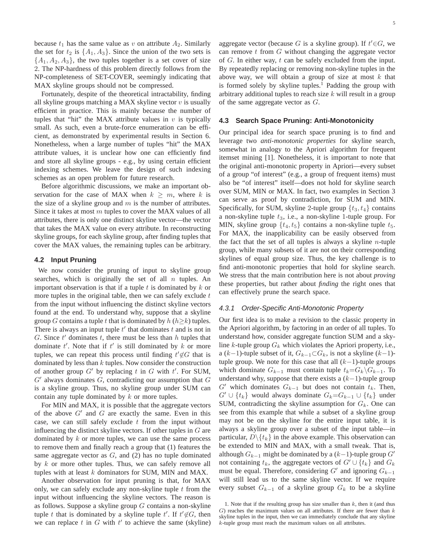because  $t_1$  has the same value as v on attribute  $A_2$ . Similarly the set for  $t_2$  is  $\{A_1, A_3\}$ . Since the union of the two sets is  $\{A_1, A_2, A_3\}$ , the two tuples together is a set cover of size 2. The NP-hardness of this problem directly follows from the NP-completeness of SET-COVER, seemingly indicating that MAX skyline groups should not be compressed.

Fortunately, despite of the theoretical intractability, finding all skyline groups matching a MAX skyline vector  $v$  is usually efficient in practice. This is mainly because the number of tuples that "hit" the MAX attribute values in  $v$  is typically small. As such, even a brute-force enumeration can be efficient, as demonstrated by experimental results in Section 6. Nonetheless, when a large number of tuples "hit" the MAX attribute values, it is unclear how one can efficiently find and store all skyline groups - e.g., by using certain efficient indexing schemes. We leave the design of such indexing schemes as an open problem for future research.

Before algorithmic discussions, we make an important observation for the case of MAX when  $k > m$ , where k is the size of a skyline group and  $m$  is the number of attributes. Since it takes at most  $m$  tuples to cover the MAX values of all attributes, there is only one distinct skyline vector—the vector that takes the MAX value on every attribute. In reconstructing skyline groups, for each skyline group, after finding tuples that cover the MAX values, the remaining tuples can be arbitrary.

#### **4.2 Input Pruning**

We now consider the pruning of input to skyline group searches, which is originally the set of all  $n$  tuples. An important observation is that if a tuple t is dominated by  $k$  or more tuples in the original table, then we can safely exclude  $t$ from the input without influencing the distinct skyline vectors found at the end. To understand why, suppose that a skyline group G contains a tuple t that is dominated by  $h (h \ge k)$  tuples. There is always an input tuple  $t'$  that dominates  $t$  and is not in G. Since  $t'$  dominates  $t$ , there must be less than  $h$  tuples that dominate  $t'$ . Note that if  $t'$  is still dominated by  $k$  or more tuples, we can repeat this process until finding  $t' \notin G$  that is dominated by less than  $k$  tuples. Now consider the construction of another group  $G'$  by replacing t in  $G$  with  $t'$ . For SUM,  $G'$  always dominates  $G$ , contradicting our assumption that  $G$ is a skyline group. Thus, no skyline group under SUM can contain any tuple dominated by  $k$  or more tuples.

For MIN and MAX, it is possible that the aggregate vectors of the above  $G'$  and  $G$  are exactly the same. Even in this case, we can still safely exclude  $t$  from the input without influencing the distinct skyline vectors. If other tuples in  $G$  are dominated by  $k$  or more tuples, we can use the same process to remove them and finally reach a group that (1) features the same aggregate vector as  $G$ , and  $(2)$  has no tuple dominated by k or more other tuples. Thus, we can safely remove all tuples with at least  $k$  dominators for SUM, MIN and MAX.

Another observation for input pruning is that, for MAX only, we can safely exclude any non-skyline tuple  $t$  from the input without influencing the skyline vectors. The reason is as follows. Suppose a skyline group  $G$  contains a non-skyline tuple t that is dominated by a skyline tuple t'. If  $t' \notin G$ , then we can replace  $t$  in  $G$  with  $t'$  to achieve the same (skyline)

aggregate vector (because G is a skyline group). If  $t' \in G$ , we can remove  $t$  from  $G$  without changing the aggregate vector of G. In either way, t can be safely excluded from the input. By repeatedly replacing or removing non-skyline tuples in the above way, we will obtain a group of size at most  $k$  that is formed solely by skyline tuples.<sup>1</sup> Padding the group with arbitrary additional tuples to reach size  $k$  will result in a group of the same aggregate vector as G.

#### **4.3 Search Space Pruning: Anti-Monotonicity**

Our principal idea for search space pruning is to find and leverage two *anti-monotonic properties* for skyline search, somewhat in analogy to the Apriori algorithm for frequent itemset mining [1]. Nonetheless, it is important to note that the original anti-monotonic property in Apriori—every subset of a group "of interest" (e.g., a group of frequent items) must also be "of interest" itself—does not hold for skyline search over SUM, MIN or MAX. In fact, two examples in Section 3 can serve as proof by contradiction, for SUM and MIN. Specifically, for SUM, skyline 2-tuple group  $\{t_3, t_4\}$  contains a non-skyline tuple  $t_3$ , i.e., a non-skyline 1-tuple group. For MIN, skyline group  $\{t_4, t_5\}$  contains a non-skyline tuple  $t_5$ . For MAX, the inapplicability can be easily observed from the fact that the set of all tuples is always a skyline  $n$ -tuple group, while many subsets of it are not on their corresponding skylines of equal group size. Thus, the key challenge is to find anti-monotonic properties that hold for skyline search. We stress that the main contribution here is not about *proving* these properties, but rather about *finding* the right ones that can effectively prune the search space.

#### 4.3.1 Order-Specific Anti-Monotonic Property

Our first idea is to make a revision to the classic property in the Apriori algorithm, by factoring in an order of all tuples. To understand how, consider aggregate function SUM and a skyline k-tuple group  $G_k$  which violates the Apriori property, i.e., a (k−1)-tuple subset of it,  $G_{k-1}\subset G_k$ , is not a skyline (k−1)tuple group. We note for this case that all  $(k-1)$ -tuple groups which dominate  $G_{k-1}$  must contain tuple  $t_k = G_k \backslash G_{k-1}$ . To understand why, suppose that there exists a  $(k-1)$ -tuple group  $G'$  which dominates  $G_{k-1}$  but does not contain  $t_k$ . Then,  $G' \cup \{t_k\}$  would always dominate  $G_k = G_{k-1} \cup \{t_k\}$  under SUM, contradicting the skyline assumption for  $G_k$ . One can see from this example that while a subset of a skyline group may not be on the skyline for the entire input table, it is always a skyline group over a subset of the input table—in particular,  $D \setminus \{t_k\}$  in the above example. This observation can be extended to MIN and MAX, with a small tweak. That is, although  $G_{k-1}$  might be dominated by a  $(k-1)$ -tuple group  $G'$ not containing  $t_k$ , the aggregate vectors of  $G' \cup \{t_k\}$  and  $G_k$ must be equal. Therefore, considering  $G'$  and ignoring  $G_{k-1}$ will still lead us to the same skyline vector. If we require every subset  $G_{k-1}$  of a skyline group  $G_k$  to be a skyline

<sup>1.</sup> Note that if the resulting group has size smaller than  $k$ , then it (and thus  $G$ ) reaches the maximum values on all attributes. If there are fewer than  $k$ skyline tuples in the input, then we can immediately conclude that any skyline  $k$ -tuple group must reach the maximum values on all attributes.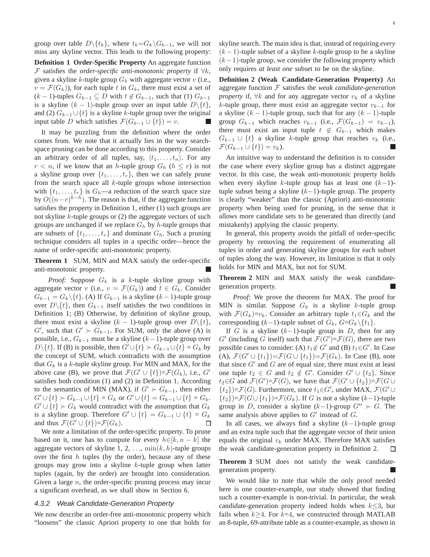group over table  $D\backslash\{t_k\}$ , where  $t_k= G_k\backslash G_{k-1}$ , we will not miss any skyline vector. This leads to the following property:

**Definition 1 Order-Specific Property** An aggregate function F satisfies the *order-specific anti-monotonic property* if ∀k, given a skyline k-tuple group  $G_k$  with aggregate vector v (i.e.,  $v = \mathcal{F}(G_k)$ , for each tuple t in  $G_k$ , there must exist a set of  $(k-1)$ -tuples  $G_{k-1} \subseteq D$  with  $t \notin G_{k-1}$ , such that (1)  $G_{k-1}$ is a skyline  $(k - 1)$ -tuple group over an input table  $D \setminus \{t\}$ , and (2)  $G_{k-1} \cup \{t\}$  is a skyline k-tuple group over the original input table D which satisfies  $\mathcal{F}(G_{k-1} \cup \{t\}) = v$ .

It may be puzzling from the definition where the order comes from. We note that it actually lies in the way searchspace pruning can be done according to this property. Consider an arbitrary order of all tuples, say,  $\langle t_1, \ldots, t_n \rangle$ . For any  $r < n$ , if we know that an *h*-tuple group  $G_h$  ( $h \leq r$ ) is *not* a skyline group over  $\{t_1, \ldots, t_r\}$ , then we can safely prune from the search space all  $k$ -tuple groups whose intersection with  $\{t_1, \ldots, t_r\}$  is  $G_h$ —a reduction of the search space size by  $O((n-r)^{k-h})$ . The reason is that, if the aggregate function satisfies the property in Definition 1, either (1) such groups are not skyline  $k$ -tuple groups or  $(2)$  the aggregate vectors of such groups are unchanged if we replace  $G_h$  by h-tuple groups that are subsets of  $\{t_1, \ldots, t_r\}$  and dominate  $G_h$ . Such a pruning technique considers all tuples in a specific order—hence the name of order-specific anti-monotonic property.

**Theorem 1** SUM, MIN and MAX satisfy the order-specific anti-monotonic property.

*Proof:* Suppose  $G_k$  is a k-tuple skyline group with aggregate vector v (i.e.,  $v = \mathcal{F}(G_k)$ ) and  $t \in G_k$ . Consider  $G_{k-1} = G_k \backslash \{t\}.$  (A) If  $G_{k-1}$  is a skyline  $(k-1)$ -tuple group over  $D\backslash\{t\}$ , then  $G_{k-1}$  itself satisfies the two conditions in Definition 1; (B) Otherwise, by definition of skyline group, there must exist a skyline  $(k - 1)$ -tuple group over  $D\setminus\{t\}$ ,  $G'$ , such that  $G' \succ G_{k-1}$ . For SUM, only the above (A) is possible, i.e.,  $G_{k-1}$  must be a skyline  $(k-1)$ -tuple group over  $D\backslash\{t\}$ . If (B) is possible, then  $G'\cup\{t\} \succ G_{k-1}\cup\{t\} = G_k$  by the concept of SUM, which contradicts with the assumption that  $G_k$  is a k-tuple skyline group. For MIN and MAX, for the above case (B), we prove that  $\mathcal{F}(G' \cup \{t\}) = \mathcal{F}(G_k)$ , i.e.,  $G'$ satisfies both condition (1) and (2) in Definition 1. According to the semantics of MIN (MAX), if  $G' \succ G_{k-1}$ , then either  $G' \cup \{t\} \succ G_{k-1} \cup \{t\} = G_k$  or  $G' \cup \{t\} = G_{k-1} \cup \{t\} = G_k$ .  $G' \cup \{t\} \succ G_k$  would contradict with the assumption that  $G_k$ is a skyline group. Therefore  $G' \cup \{t\} = G_{k-1} \cup \{t\} = G_k$ and thus  $\mathcal{F}(G' \cup \{t\}) = \mathcal{F}(G_k)$ .  $\Box$ 

We note a limitation of the order-specific property. To prune based on it, one has to compute for every  $h \in [k, n - k]$  the aggregate vectors of skyline 1, 2, ...,  $min(k, h)$ -tuple groups over the first  $h$  tuples (by the order), because any of these groups may grow into a skyline k-tuple group when latter tuples (again, by the order) are brought into consideration. Given a large  $n$ , the order-specific pruning process may incur a significant overhead, as we shall show in Section 6.

#### 4.3.2 Weak Candidate-Generation Property

We now describe an order-free anti-monotonic property which "loosens" the classic Apriori property to one that holds for skyline search. The main idea is that, instead of requiring *every*  $(k-1)$ -tuple subset of a skyline k-tuple group to be a skyline  $(k-1)$ -tuple group, we consider the following property which only requires *at least one* subset to be on the skyline.

**Definition 2 (Weak Candidate-Generation Property)** An aggregate function F satisfies the *weak candidate-generation property* if,  $\forall k$  and for any aggregate vector  $v_k$  of a skyline k-tuple group, there must exist an aggregate vector  $v_{k-1}$  for a skyline  $(k - 1)$ -tuple group, such that for any  $(k - 1)$ -tuple group  $G_{k-1}$  which reaches  $v_{k-1}$  (i.e.,  $\mathcal{F}(G_{k-1}) = v_{k-1}$ ), there must exist an input tuple  $t \notin G_{k-1}$  which makes  $G_{k-1} \cup \{t\}$  a skyline k-tuple group that reaches  $v_k$  (i.e.,  $\mathcal{F}(G_{k-1} \cup \{t\}) = v_k$ .

An intuitive way to understand the definition is to consider the case where every skyline group has a distinct aggregate vector. In this case, the weak anti-monotonic property holds when every skyline k-tuple group has at least one  $(k-1)$ tuple subset being a skyline  $(k-1)$ -tuple group. The property is clearly "weaker" than the classic (Apriori) anti-monotonic property when being used for pruning, in the sense that it allows more candidate sets to be generated than directly (and mistakenly) applying the classic property.

In general, this property avoids the pitfall of order-specific property by removing the requirement of enumerating all tuples in order and generating skyline groups for each subset of tuples along the way. However, its limitation is that it only holds for MIN and MAX, but not for SUM.

**Theorem 2** MIN and MAX satisfy the weak candidategeneration property.

*Proof:* We prove the theorem for MAX. The proof for MIN is similar. Suppose  $G_k$  is a skyline k-tuple group with  $\mathcal{F}(G_k)=v_k$ . Consider an arbitrary tuple  $t_1 \in G_k$  and the corresponding  $(k-1)$ -tuple subset of  $G_k$ ,  $G=G_k\backslash\{t_1\}$ .

If G is a skyline  $(k-1)$ -tuple group in D, then for any G' (including G itself) such that  $\mathcal{F}(G') = \mathcal{F}(G)$ , there are two possible cases to consider: (A)  $t_1 \notin G'$  and (B)  $t_1 \in G'$ . In Case (A),  $\mathcal{F}(G' \cup \{t_1\}) = \mathcal{F}(G \cup \{t_1\}) = \mathcal{F}(G_k)$ . In Case (B), note that since  $G'$  and  $G$  are of equal size, there must exist at least one tuple  $t_2 \in G$  and  $t_2 \notin G'$ . Consider  $G' \cup \{t_2\}$ . Since  $t_2 \in G$  and  $\mathcal{F}(G') = \mathcal{F}(G)$ , we have that  $\mathcal{F}(G' \cup \{t_2\}) = \mathcal{F}(G \cup$  $\{t_2\}$ )= $\mathcal{F}(G)$ . Furthermore, since  $t_1 \in G'$ , under MAX,  $\mathcal{F}(G' \cup$  ${t_2}$ )= $\mathcal{F}(G \cup {t_1})$ = $\mathcal{F}(G_k)$ . If G is not a skyline (k-1)-tuple group in D, consider a skyline  $(k-1)$ -group  $G'' > G$ . The same analysis above applies to  $G'$  instead of  $G$ .

In all cases, we always find a skyline  $(k-1)$ -tuple group and an extra tuple such that the aggregate vector of their union equals the original  $v_k$  under MAX. Therefore MAX satisfies the weak candidate-generation property in Definition 2. П

**Theorem 3** SUM does not satisfy the weak candidategeneration property.

We would like to note that while the only proof needed here is one counter-example, our study showed that finding such a counter-example is non-trivial. In particular, the weak candidate-generation property indeed holds when  $k \leq 3$ , but fails when  $k \geq 4$ . For  $k=4$ , we constructed through MATLAB an 8-tuple, 69-attribute table as a counter-example, as shown in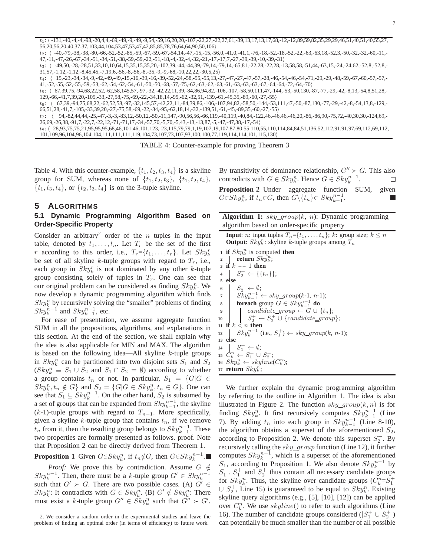$t_1$ :  $\langle$ -131,-40,-4,-4,-98,-20,4,4,-69,-49,-9,-49,-9,54,-59,16,20,20,-107,-22,27,-22,27,61,-39,13,17,13,17,68,-12,-12,89,59,82,35,29,29,46,51,40,51,40,55,27, 56,20,56,20,40,37,37,103,44,104,53,47,53,47,42,85,85,78,76,64,64,90,50,106)

t<sub>2</sub>:  $\langle$  -40,-79,-38,-38,-80,-66,-52,-52,-85,-59,-67,-59,-67,-54,14,-47,-15,-15,-56,0,-41,0,-41,1,-76,-18,-52,-18,-52,-18,-52,-22,-63,-63,18,-52,3,-50,-32,-32,-60,-11,-47,-11,-47,-26,-67,-34,-51,-34,-51,-38,-59,-59,-22,-51,-18,-4,-32,-4,-32,-21,-17,-17,7,-27,-39,-39,-10,-39,-31i

t<sub>3</sub>:  $\langle$  -49,50,-28,-28,51,33,10,10,64,15,35,15,35,20,-102,39,-44,-44,39,-79,14,-79,14,-65,81,-22,28,-22,28,-13,58,58,-51,44,-63,15,-24,-24,62,-52,8,-52,8,-52,8,-52,8,-52,8,-52,8,-52,8,-52,8,-52,8,-52,8,-52,8,-52,8,-52,8 31,57,-1,12,-1,12,-8,45,45,-7,19,6,-56,-8,-56,-8,-35,-9,-9,-68,-10,22,22,-30,5,25 $\rangle$ 

t<sub>4</sub>: (15,-23,-34,-34,-9,-42,-49,-45,-16,-39,-16,-39,-52,-24,-58,-55,-55,13,-27,-47,-27,-47,-57,-28,-46,-54,-46,-54,-71,-29,-29,-48,-59,-67,-60,-57,-57,-41,-52,-55,-52,-55,-59,-53,-62,-54,-62,-54,-61,-50,-50,-68,-57,-75,-62,-63,-62,-63,-61,-63,-63,-63,-67,-64,-64,-72,-64,-70i

t<sub>5</sub>: (67,39,75,-94,68,22,52,-62,58,145,57,-97,-32,-42,22,11,39,-84,86,94,82,-106,-107,-58,50,111,47,-144,-53,-50,130,-87,-77,-29,-42,-8,13,-54,8,51,28,-129,-66,-41,7,39,20,-105,-33,-27,58,-75,-69,-22,-34,18,14,-95,-62,-32,51,-139,-61,-45,35,-89,-60,-27,-55i

t<sub>6</sub>: ( 67,39,-94,75,68,22,-62,52,58,-97,-32,145,57,-42,22,11,-84,39,86,-106,-107,94,82,-58,50,-144,-53,111,47,-50,-87,130,-77,-29,-42,-8,-54,13,8,-129,-66,51,28,-41,7,-105,-33,39,20,-27,-75,58,-69,-22,-34,-95,-62,18,14,-32,-139,51,-61,-45,-89,35,-60,-27,-55i

t7: h 94,-82,44,44,-25,-47,-3,-3,-83,12,-50,12,-50,-11,147,-90,56,56,-66,119,-40,119,-40,84,-122,46,-46,46,-46,20,-86,-86,90,-75,72,-40,30,30,-124,69,- 26,69,-26,38,-91,7,-22,7,-22,12,-71,-71,17,-34,-57,70,-5,70,-5,43,-13,-13,87,-5,-47,-47,38,-17,-54i

t<sub>8</sub>:  $\langle -28,93,75,75,21,95,95,95,68,46,101,46,101,123,-23,115,79,79,1,19,107,19,107,87,80,55,110,55,110,114,84,84,51,136,52,112,91,91,97,69,112,69,112,91,91,92,93,93,112,93,94,95,112,91,91,92,93,94,95,96,112,98,97,99,112,9$ 101,109,96,104,96,104,104,111,111,111,119,104,73,107,73,107,93,100,100,77,119,114,114,101,115,130i

TABLE 4: Counter-example for proving Theorem 3

Table 4. With this counter-example,  $\{t_1, t_2, t_3, t_4\}$  is a skyline group for SUM, whereas none of  $\{t_1, t_2, t_3\}$ ,  $\{t_1, t_2, t_4\}$ ,  $\{t_1, t_3, t_4\}$ , or  $\{t_2, t_3, t_4\}$  is on the 3-tuple skyline.

#### **5 ALGORITHMS**

## **5.1 Dynamic Programming Algorithm Based on Order-Specific Property**

Consider an arbitrary<sup>2</sup> order of the n tuples in the input table, denoted by  $t_1, \ldots, t_n$ . Let  $T_r$  be the set of the first r according to this order, i.e.,  $T_r = \{t_1, \ldots, t_r\}$ . Let  $Sky_k^r$ be set of all skyline k-tuple groups with regard to  $T_r$ , i.e., each group in  $Sky_k^r$  is not dominated by any other k-tuple group consisting solely of tuples in  $T_r$ . One can see that our original problem can be considered as finding  $Sky_k^n$ . We now develop a dynamic programming algorithm which finds  $Sky_k^n$  by recursively solving the "smaller" problems of finding  $Sky_k^{n-1}$  and  $Sky_{k-1}^{n-1}$ , etc.

For ease of presentation, we assume aggregate function SUM in all the propositions, algorithms, and explanations in this section. At the end of the section, we shall explain why the idea is also applicable for MIN and MAX. The algorithm is based on the following idea—All skyline  $k$ -tuple groups in  $Sky_k^n$  can be partitioned into two disjoint sets  $S_1$  and  $S_2$  $(Sky_k^n \equiv S_1 \cup \overline{S_2}$  and  $S_1 \cap S_2 = \emptyset$ ) according to whether a group contains  $t_n$  or not. In particular,  $S_1 = \{G | G \in$  $Sky_k^n, t_n \notin G$ } and  $S_2 = \{G | G \in Sky_k^n, t_n \in G\}$ . One can see that  $S_1 \subseteq Sky_k^{n-1}$ . On the other hand,  $S_2$  is subsumed by a set of groups that can be expanded from  $Sky_{k-1}^{n-1}$ , the skyline (k-1)-tuple groups with regard to  $T_{n-1}$ . More specifically, given a skyline  $k$ -tuple group that contains  $t_n$ , if we remove  $t_n$  from it, then the resulting group belongs to  $Sky_{k-1}^{n-1}$ . These two properties are formally presented as follows. proof. Note that Proposition 2 can be directly derived from Theorem 1.

**Proposition 1** Given  $G \in Sky_k^n$ , if  $t_n \notin G$ , then  $G \in Sky_k^{n-1}$ .

*Proof:* We prove this by contradiction. Assume  $G \notin$  $Sky_k^{n-1}$ . Then, there must be a k-tuple group  $G' \in Sky_k^{n-1}$ . such that  $G' \succ G$ . There are two possible cases. (A)  $G' \in$  $Sky_k^n$ : It contradicts with  $G \in Sky_k^n$ . (B)  $G' \notin Sky_k^n$ : There must exist a k-tuple group  $G'' \in \overset{\circ}{Sky}^n_k$  such that  $G'' \succ G'$ .

By transitivity of dominance relationship,  $G'' \succ G$ . This also contradicts with  $G \in Sky_k^n$ . Hence  $G \in Sky_k^{n-1}$ .  $\Box$ 

**Proposition 2** Under aggregate function SUM, given  $G\in Sky_k^n$ , if  $t_n\in G$ , then  $G\backslash \{t_n\}\in Sky_{k-1}^{n-1}$ . n.

**Algorithm 1:**  $sky\_group(k, n)$ : Dynamic programming algorithm based on order-specific property

**Input**: *n*: input tuples  $T_n = \{t_1, \ldots, t_n\}$ ; *k*: group size;  $k \le n$ **Output**:  $Sky_k^n$ : skyline k-tuple groups among  $T_n$ 

 **if**  $Sky_k^n$  is computed **then return**  $Sky_k^n$ ; **if** k *==* 1 **then**  $S_2^+ \leftarrow \{\{t_n\}\};$ **<sup>5</sup> else**  $S_2^+$  ←  $\emptyset$ ;<br> *Sky*<sub>k-1</sub> ← *sky\_group*(k-1, n-1); **foreach** group  $G \in Sky_{k-1}^{n-1}$  **do**   $\begin{bmatrix} \cdot & \cdot & \cdot \\ \cdot & \cdot & \cdot \\ \cdot & \cdot & \cdot \\ \cdot & \cdot & \cdot \end{bmatrix}$  $S_2^+ \leftarrow S_2^+ \cup \{candidate\_group\};$ **if**  $k < n$  **then**  $12 \quad \int Sky_k^{n-1}$  (i.e.,  $S_1^+$ )  $\leftarrow sky\_group(k, n-1);$ 

**<sup>13</sup> else**  $S_1^+ \leftarrow \emptyset;$  $C_k^n \leftarrow S_1^+ \cup S_2^+;$  $Sky_k^n \leftarrow skyline(C_k^n);$ **return**  $Sky_k^n$ ;

We further explain the dynamic programming algorithm by referring to the outline in Algorithm 1. The idea is also illustrated in Figure 2. The function  $sky\_group(k, n)$  is for finding  $Sky_k^n$ . It first recursively computes  $Sky_{k-1}^{n-1}$  (Line 7). By adding  $t_n$  into each group in  $Sky_{k-1}^{n-1}$  (Line 8-10), the algorithm obtains a superset of the aforementioned  $S_2$ , according to Proposition 2. We denote this superset  $S_2^+$ . By recursively calling the  $sky\_group$  function (Line 12), it further computes  $Sky_k^{n-1}$ , which is a superset of the aforementioned S<sub>1</sub>, according to Proposition 1. We also denote  $Sky_k^{n-1}$  by  $S_1^+$ .  $S_1^+$  and  $S_2^+$  thus contain all necessary candidate groups for  $Sky_k^n$ . Thus, the skyline over candidate groups  $(C_k^n = S_1^+$  $\cup S_2^+$ , Line 15) is guaranteed to be equal to  $Sky_k^n$ . Existing skyline query algorithms (e.g., [5], [10], [12]) can be applied over  $C_k^n$ . We use  $skpline()$  to refer to such algorithms (Line 16). The number of candidate groups considered  $(|S_1^+ \cup S_2^+|)$ can potentially be much smaller than the number of all possible

<sup>2.</sup> We consider a random order in the experimental studies and leave the problem of finding an optimal order (in terms of efficiency) to future work.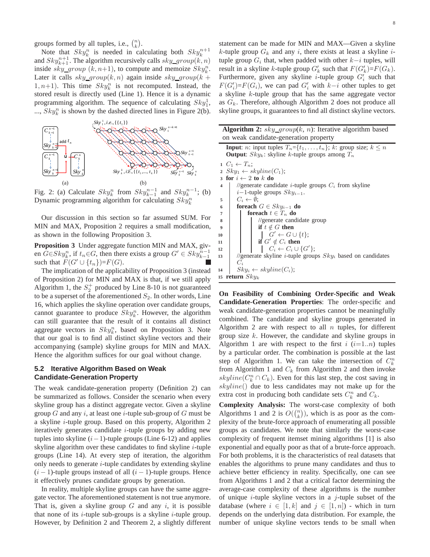groups formed by all tuples, i.e.,  $\binom{n}{k}$ .

Note that  $Sky_k^n$  is needed in calculating both  $Sky_k^{n+1}$ and  $Sky_{k+1}^{n+1}$ . The algorithm recursively calls  $sky\_group(k, n)$ inside  $\frac{k}{y}$  group  $(k, n+1)$ , to compute and memoize  $\frac{Sky_k^n}{s}$ . Later it calls  $sky\_group(k, n)$  again inside  $sky\_group(k +$  $1, n+1$ ). This time  $Sky_k^n$  is not recomputed. Instead, the stored result is directly used (Line 1). Hence it is a dynamic programming algorithm. The sequence of calculating  $Sky_1^1$ ,  $...$ ,  $Sky_k^n$  is shown by the dashed directed lines in Figure 2(b).



Fig. 2: (a) Calculate  $Sky_k^n$  from  $Sky_{k-1}^{n-1}$  and  $Sky_k^{n-1}$ ; (b) Dynamic programming algorithm for calculating  $\overrightarrow{Sky}_k^n$ 

Our discussion in this section so far assumed SUM. For MIN and MAX, Proposition 2 requires a small modification, as shown in the following Proposition 3.

**Proposition 3** Under aggregate function MIN and MAX, given  $G \in Sky_k^n$ , if  $t_n \in G$ , then there exists a group  $G' \in Sky_{k-1}^{n-1}$ such that  $F(G' \cup \{t_n\})=F(G)$ .

The implication of the applicability of Proposition 3 (instead of Proposition 2) for MIN and MAX is that, if we still apply Algorithm 1, the  $S_2^+$  produced by Line 8-10 is not guaranteed to be a superset of the aforementioned  $S_2$ . In other words, Line 16, which applies the skyline operation over candidate groups, cannot guarantee to produce  $Sky_k^n$ . However, the algorithm can still guarantee that the result of it contains all distinct aggregate vectors in  $Sky_k^n$ , based on Proposition 3. Note that our goal is to find all distinct skyline vectors and their accompanying (sample) skyline groups for MIN and MAX. Hence the algorithm suffices for our goal without change.

### **5.2 Iterative Algorithm Based on Weak Candidate-Generation Property**

The weak candidate-generation property (Definition 2) can be summarized as follows. Consider the scenario when every skyline group has a distinct aggregate vector. Given a skyline group  $G$  and any  $i$ , at least one  $i$ -tuple sub-group of  $G$  must be a skyline i-tuple group. Based on this property, Algorithm 2 iteratively generates candidate i-tuple groups by adding new tuples into skyline  $(i-1)$ -tuple groups (Line 6-12) and applies skyline algorithm over these candidates to find skyline  $i$ -tuple groups (Line 14). At every step of iteration, the algorithm only needs to generate  $i$ -tuple candidates by extending skyline  $(i - 1)$ -tuple groups instead of all  $(i - 1)$ -tuple groups. Hence it effectively prunes candidate groups by generation.

In reality, multiple skyline groups can have the same aggregate vector. The aforementioned statement is not true anymore. That is, given a skyline group  $G$  and any  $i$ , it is possible that none of its  $i$ -tuple sub-groups is a skyline  $i$ -tuple group. However, by Definition 2 and Theorem 2, a slightly different

statement can be made for MIN and MAX—Given a skyline k-tuple group  $G_k$  and any i, there exists at least a skyline ituple group  $G_i$  that, when padded with other  $k-i$  tuples, will result in a skyline k-tuple group  $G'_{k}$  such that  $F(G'_{k})=F(G_{k})$ . Furthermore, given any skyline *i*-tuple group  $G_i^{\prime\prime}$  such that  $F(G_i')=F(G_i)$ , we can pad  $G_i'$  with  $k-i$  other tuples to get a skyline k-tuple group that has the same aggregate vector as  $G_k$ . Therefore, although Algorithm 2 does not produce all skyline groups, it guarantees to find all distinct skyline vectors.

|                                       | <b>Algorithm 2:</b> $sky\_group(k, n)$ : Iterative algorithm based |
|---------------------------------------|--------------------------------------------------------------------|
| on weak candidate-generation property |                                                                    |

**Input**: *n*: input tuples  $T_n = \{t_1, \ldots, t_n\}$ ; *k*: group size;  $k \leq n$ **Output**:  $Sky_k$ : skyline k-tuple groups among  $T_n$  $1 \ C_1 \leftarrow T_n;$  $Sky_1 \leftarrow skyline(C_1);$  **for**  $i \leftarrow 2$  **to** k **do**  //generate candidate *i*-tuple groups  $C_i$  from skyline  $i-1$ -tuple groups  $Sky_{i-1}$ .  $C_i \leftarrow \emptyset;$  **foreach**  $G \in Sky_{i-1}$  **do foreach**  $t \in T_n$  **do**  | | //generate candidate group **if**  $t \notin G$  **then**  $\begin{array}{|c|c|c|c|}\hline \textbf{10} & & G' \leftarrow G \cup \{t\}; \end{array}$  **if**  $G' \notin C_i$  **then**  $\begin{array}{|c|c|c|c|}\n\hline\n12 & \quad & \quad \text{ } & \quad \text{ } & \quad \text{ } & \quad \text{ } & \quad \text{ } & \quad \text{ } & \quad \text{ } & \quad \text{ } & \quad \text{ } & \quad \text{ } & \quad \text{ } & \quad \text{ } & \quad \text{ } & \quad \text{ } & \quad \text{ } & \quad \text{ } & \quad \text{ } & \quad \text{ } & \quad \text{ } & \quad \text{ } & \quad \text{ } & \quad \text{ } & \quad \text{ } & \quad \text{ } & \quad \text{ } & \quad \text{ } & \quad \text{ } & \quad \text{$  //generate skyline *i*-tuple groups  $Sky_i$  based on candidates  $C_i$   $Sky_i \leftarrow skyline(C_i);$ **return** Sky<sup>k</sup>

**On Feasibility of Combining Order-Specific and Weak Candidate-Generation Properties**: The order-specific and weak candidate-generation properties cannot be meaningfully combined. The candidate and skyline groups generated in Algorithm 2 are with respect to all  $n$  tuples, for different group size  $k$ . However, the candidate and skyline groups in Algorithm 1 are with respect to the first  $i$  ( $i=1..n$ ) tuples by a particular order. The combination is possible at the last step of Algorithm 1. We can take the intersection of  $C_k^n$ from Algorithm 1 and  $C_k$  from Algorithm 2 and then invoke  $skpline(C_k^n \cap C_k)$ . Even for this last step, the cost saving in skyline() due to less candidates may not make up for the extra cost in producing both candidate sets  $C_k^n$  and  $C_k$ .

**Complexity Analysis:** The worst-case complexity of both Algorithms 1 and 2 is  $O({n \choose k})$ , which is as poor as the complexity of the brute-force approach of enumerating all possible groups as candidates. We note that similarly the worst-case complexity of frequent itemset mining algorithms [1] is also exponential and equally poor as that of a brute-force approach. For both problems, it is the characteristics of real datasets that enables the algorithms to prune many candidates and thus to achieve better efficiency in reality. Specifically, one can see from Algorithms 1 and 2 that a critical factor determining the average-case complexity of these algorithms is the number of unique *i*-tuple skyline vectors in a *j*-tuple subset of the database (where  $i \in [1, k]$  and  $j \in [1, n]$ ) - which in turn depends on the underlying data distribution. For example, the number of unique skyline vectors tends to be small when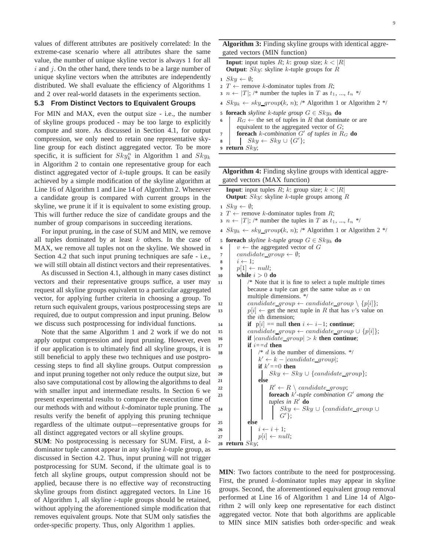values of different attributes are positively correlated: In the extreme-case scenario where all attributes share the same value, the number of unique skyline vector is always 1 for all  $i$  and  $j$ . On the other hand, there tends to be a large number of unique skyline vectors when the attributes are independently distributed. We shall evaluate the efficiency of Algorithms 1 and 2 over real-world datasets in the experiments section.

## **5.3 From Distinct Vectors to Equivalent Groups**

For MIN and MAX, even the output size - i.e., the number of skyline groups produced - may be too large to explicitly compute and store. As discussed in Section 4.1, for output compression, we only need to retain one representative skyline group for each distinct aggregated vector. To be more specific, it is sufficient for  $Sky_k^n$  in Algorithm 1 and  $Sky_k$ in Algorithm 2 to contain one representative group for each distinct aggregated vector of k-tuple groups. It can be easily achieved by a simple modification of the skyline algorithm at Line 16 of Algorithm 1 and Line 14 of Algorithm 2. Whenever a candidate group is compared with current groups in the skyline, we prune it if it is equivalent to some existing group. This will further reduce the size of candidate groups and the number of group comparisons in succeeding iterations.

For input pruning, in the case of SUM and MIN, we remove all tuples dominated by at least  $k$  others. In the case of MAX, we remove all tuples not on the skyline. We showed in Section 4.2 that such input pruning techniques are safe - i.e., we will still obtain all distinct vectors and their representatives.

As discussed in Section 4.1, although in many cases distinct vectors and their representative groups suffice, a user may request all skyline groups equivalent to a particular aggregated vector, for applying further criteria in choosing a group. To return such equivalent groups, various postprocessing steps are required, due to output compression and input pruning. Below we discuss such postprocessing for individual functions.

Note that the same Algorithm 1 and 2 work if we do not apply output compression and input pruning. However, even if our application is to ultimately find all skyline groups, it is still beneficial to apply these two techniques and use postprocessing steps to find all skyline groups. Output compression and input pruning together not only reduce the output size, but also save computational cost by allowing the algorithms to deal with smaller input and intermediate results. In Section 6 we present experimental results to compare the execution time of our methods with and without  $k$ -dominator tuple pruning. The results verify the benefit of applying this pruning technique regardless of the ultimate output—representative groups for all distinct aggregated vectors or all skyline groups.

**SUM**: No postprocessing is necessary for SUM. First, a kdominator tuple cannot appear in any skyline  $k$ -tuple group, as discussed in Section 4.2. Thus, input pruning will not trigger postprocessing for SUM. Second, if the ultimate goal is to fetch all skyline groups, output compression should not be applied, because there is no effective way of reconstructing skyline groups from distinct aggregated vectors. In Line 16 of Algorithm 1, all skyline  $i$ -tuple groups should be retained, without applying the aforementioned simple modification that removes equivalent groups. Note that SUM only satisfies the order-specific property. Thus, only Algorithm 1 applies.

**Algorithm 3:** Finding skyline groups with identical aggregated vectors (MIN function)

| gated $\sqrt{C}$ vectors $\sqrt{C}$ visits function)                                                                                                               |
|--------------------------------------------------------------------------------------------------------------------------------------------------------------------|
| <b>Input:</b> input tuples R; k: group size; $k <  R $<br><b>Output:</b> $Sky:$ skyline k-tuple groups for R                                                       |
| $1 \; Sku \leftarrow \emptyset$ :                                                                                                                                  |
| $\sigma$ $T$ $\leftarrow$ remove k-dominator tuples from R;                                                                                                        |
| 3 $n \leftarrow  T $ ; /* number the tuples in T as $t_1, , t_n$ */                                                                                                |
| 4 $Sky_k \leftarrow sky\_group(k, n);$ /* Algorithm 1 or Algorithm 2 */                                                                                            |
| 5 foreach skyline k-tuple group $G \in Sky_k$ do                                                                                                                   |
| 6 $R_G \leftarrow$ the set of tuples in R that dominate or are                                                                                                     |
| equivalent to the aggregated vector of $G$ ;<br>equivalent to the aggregated for $R_G$ <b>do</b><br><b>foreach</b> k-combination $G'$ of tuples in $R_G$ <b>do</b> |
|                                                                                                                                                                    |

**8**  $Sky \leftarrow Sky \cup \{G'\};$ 

**<sup>9</sup> return** Sky;

**Algorithm 4:** Finding skyline groups with identical aggregated vectors (MAX function)

|    | <b>Input:</b> input tuples R; k: group size; $k <  R $                  |
|----|-------------------------------------------------------------------------|
|    | <b>Output</b> : $Sky:$ skyline k-tuple groups among R                   |
|    | $1 \; Sky \leftarrow \emptyset;$                                        |
|    | $\alpha$ $T \leftarrow$ remove k-dominator tuples from R;               |
|    | 3 $n \leftarrow  T $ ; /* number the tuples in T as $t_1, , t_n$ */     |
|    | 4 $Sky_k \leftarrow sky\_group(k, n);$ /* Algorithm 1 or Algorithm 2 */ |
| 5  | <b>foreach</b> skyline k-tuple group $G \in Sky_k$ <b>do</b>            |
| 6  | $v \leftarrow$ the aggregated vector of G                               |
| 7  | $candidate\_group \leftarrow \emptyset;$                                |
| 8  | $i \leftarrow 1$ ;                                                      |
| 9  | $p[1] \leftarrow null;$                                                 |
| 10 | while $i > 0$ do                                                        |
| 11 | $/*$ Note that it is fine to select a tuple multiple times              |
|    | because a tuple can get the same value as $v$ on                        |
|    | multiple dimensions. */                                                 |
| 12 | $candidate\_group \leftarrow candidate\_group \setminus \{p[i]\};$      |
| 13 | $p[i] \leftarrow$ get the next tuple in R that has v's value on         |
|    | the <i>i</i> th dimension;                                              |
| 14 | if $p[i] == null$ then $i \leftarrow i-1$ ; continue;                   |
| 15 | $candidate\_group \leftarrow candidate\_group \cup \{p[i]\};$           |
| 16 | if $ candidate\_group  > k$ then continue;<br>if $i = = d$ then         |
| 17 | /* $d$ is the number of dimensions. */                                  |
| 18 | $k' \leftarrow k -  candidate\_group ;$                                 |
| 19 | if $k' = 0$ then                                                        |
| 20 | $Sky \leftarrow Sky \cup \{candidate\_group\};$                         |
| 21 | else                                                                    |
| 22 | $R' \leftarrow R \setminus candidate\_group;$                           |
| 23 | <b>foreach</b> $k'$ -tuple combination $G'$ among the                   |
|    | tuples in $R'$ do                                                       |
| 24 | $Sky \leftarrow Sky \cup \{candidate\_group \cup$                       |
|    | $G'\}$                                                                  |
| 25 | else                                                                    |
| 26 | $i \leftarrow i + 1$ :                                                  |
| 27 | $p[i] \leftarrow null;$                                                 |
|    | 28 return $Sky;$                                                        |

**MIN**: Two factors contribute to the need for postprocessing. First, the pruned  $k$ -dominator tuples may appear in skyline groups. Second, the aforementioned equivalent group removal performed at Line 16 of Algorithm 1 and Line 14 of Algorithm 2 will only keep one representative for each distinct aggregated vector. Note that both algorithms are applicable to MIN since MIN satisfies both order-specific and weak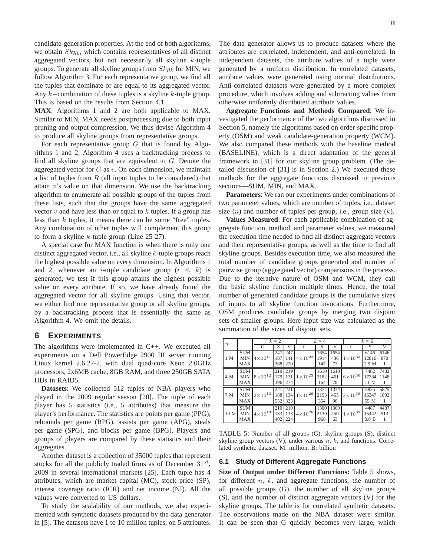candidate-generation properties. At the end of both algorithms, we obtain  $Sky_k$ , which contains representatives of all distinct aggregated vectors, but not necessarily all skyline  $k$ -tuple groups. To generate all skyline groups from  $Sky_k$  for MIN, we follow Algorithm 3. For each representative group, we find all the tuples that dominate or are equal to its aggregated vector. Any k−combination of these tuples is a skyline k-tuple group. This is based on the results from Section 4.1.

**MAX**: Algorithms 1 and 2 are both applicable to MAX. Similar to MIN, MAX needs postprocessing due to both input pruning and output compression. We thus devise Algorithm 4 to produce all skyline groups from representative groups.

For each representative group  $G$  that is found by Algorithms 1 and 2, Algorithm 4 uses a backtracking process to find all skyline groups that are equivalent to  $G$ . Denote the aggregated vector for  $G$  as  $v$ . On each dimension, we maintain a list of tuples from  $R$  (all input tuples to be considered) that attain  $v$ 's value on that dimension. We use the backtracking algorithm to enumerate all possible groups of the tuples from these lists, such that the groups have the same aggregated vector v and have less than or equal to k tuples. If a group has less than  $k$  tuples, it means there can be some "free" tuples. Any combination of other tuples will complement this group to form a skyline  $k$ -tuple group (Line 25-27).

A special case for MAX function is when there is only one distinct aggregated vector, i.e., all skyline k-tuple groups reach the highest possible value on every dimension. In Algorithms 1 and 2, whenever an *i*-tuple candidate group  $(i \leq k)$  is generated, we test if this group attains the highest possible value on every attribute. If so, we have already found the aggregated vector for all skyline groups. Using that vector, we either find one representative group or all skyline groups, by a backtracking process that is essentially the same as Algorithm 4. We omit the details.

# **6 EXPERIMENTS**

The algorithms were implemented in C++. We executed all experiments on a Dell PowerEdge 2900 III server running Linux kernel 2.6.27-7, with dual quad-core Xeon 2.0GHz processors, 2x6MB cache, 8GB RAM, and three 250GB SATA HDs in RAID5.

**Datasets**: We collected 512 tuples of NBA players who played in the 2009 regular season [20]. The tuple of each player has 5 statistics (i.e., 5 attributes) that measure the player's performance. The statistics are points per game (PPG), rebounds per game (RPG), assists per game (APG), steals per game (SPG), and blocks per game (BPG). Players and groups of players are compared by these statistics and their aggregates.

Another dataset is a collection of 35000 tuples that represent stocks for all the publicly traded firms as of December  $31^{st}$ , 2009 in several international markets [25]. Each tuple has 4 attributes, which are market capital (MC), stock price (SP), interest coverage ratio (ICR) and net income (NI). All the values were converted to US dollars.

To study the scalability of our methods, we also experimented with synthetic datasets produced by the data generator in [5]. The datasets have 1 to 10 million tuples, on 5 attributes. The data generator allows us to produce datasets where the attributes are correlated, independent, and anti-correlated. In independent datasets, the attribute values of a tuple were generated by a uniform distribution. In correlated datasets, attribute values were generated using normal distributions. Anti-correlated datasets were generated by a more complex procedure, which involves adding and subtracting values from otherwise uniformly distributed attribute values.

**Aggregate Functions and Methods Compared**: We investigated the performance of the two algorithms discussed in Section 5, namely the algorithms based on order-specific property (OSM) and weak candidate-generation property (WCM). We also compared these methods with the baseline method (BASELINE), which is a direct adaptation of the general framework in [31] for our skyline group problem. (The detailed discussion of [31] is in Section 2.) We executed these methods for the aggregate functions discussed in previous sections—SUM, MIN, and MAX.

**Parameters**: We ran our experiments under combinations of two parameter values, which are number of tuples, i.e., dataset size  $(n)$  and number of tuples per group, i.e., group size  $(k)$ .

**Values Measured**: For each applicable combination of aggregate function, method, and parameter values, we measured the execution time needed to find all distinct aggregate vectors and their representative groups, as well as the time to find all skyline groups. Besides execution time, we also measured the total number of candidate groups generated and number of pairwise group (aggregated vector) comparisons in the process. Due to the iterative nature of OSM and WCM, they call the basic skyline function multiple times. Hence, the total number of generated candidate groups is the cumulative sizes of inputs to all skyline function invocations. Furthermore, OSM produces candidate groups by merging two disjoint sets of smaller groups. Here input size was calculated as the summation of the sizes of disjoint sets.

| $\boldsymbol{n}$ |            | $k=2$                                              |         |         | $k = 4$                    |      | $k = 6$ |                             |           |      |
|------------------|------------|----------------------------------------------------|---------|---------|----------------------------|------|---------|-----------------------------|-----------|------|
|                  |            | G                                                  |         |         | G                          |      |         | G                           |           |      |
|                  | <b>SUM</b> |                                                    | 247     | 247     |                            | 1654 | 1654    |                             | 6146      | 6146 |
| 1 M              | <b>MIN</b> | $4 \times 10^{11}$ 187 141 $4 \times 10^{22}$ 1914 |         |         |                            |      | 436     | $1\times10^{33}$            | 12816     | 870  |
|                  | MAX        |                                                    |         | 368 220 |                            | 147  | 73      |                             | 2.9 M     |      |
|                  | <b>SUM</b> |                                                    |         | 219 219 |                            | 1610 | 1610    |                             | 7482      | 7482 |
| 4 M              |            | MIN $8 \times 10^{12}$ 179 131 $1 \times 10^{25}$  |         |         |                            | 2182 | 461     | $6\times10^{36}$ 17784 1148 |           |      |
|                  | MAX        |                                                    |         | 396 274 |                            | 164  | 78      |                             | 11 M      |      |
|                  | <b>SUM</b> |                                                    | 221 221 |         |                            | 1374 | 1374    |                             | 5825 5825 |      |
| 7 M              |            | MIN $2 \times 10^{13}$ 188 134 $1 \times 10^{26}$  |         |         |                            | 2193 | 455     | $2\!\times\!10^{38}$        | 16347     | 1002 |
|                  | MAX        |                                                    |         | 552 323 |                            | 354  | 90      |                             | 55 M      |      |
|                  | <b>SUM</b> |                                                    |         | 210 210 |                            | 1300 | 1300    |                             | 4487      | 4487 |
| 10 M             | <b>MIN</b> | $4\times10^{13}$                                   |         |         | 183 133 $4 \times 10^{26}$ | 2130 | 450     | $1\times10^{39}$            | 15442     | 913  |
|                  | <b>MAX</b> |                                                    | 402 224 |         |                            | 968  | 63      |                             | 0.8 B     |      |

TABLE 5: Number of all groups (G), skyline groups (S), distinct skyline group vectors  $(V)$ , under various  $n, k$ , and functions. Correlated synthetic dataset. M: million, B: billion

#### **6.1 Study of Different Aggregate Functions**

**Size of Output under Different Functions:** Table 5 shows, for different  $n$ ,  $k$ , and aggregate functions, the number of all possible groups (G), the number of all skyline groups (S), and the number of distinct aggregate vectors (V) for the skyline groups. The table is for correlated synthetic datasets. The observations made on the NBA dataset were similar. It can be seen that G quickly becomes very large, which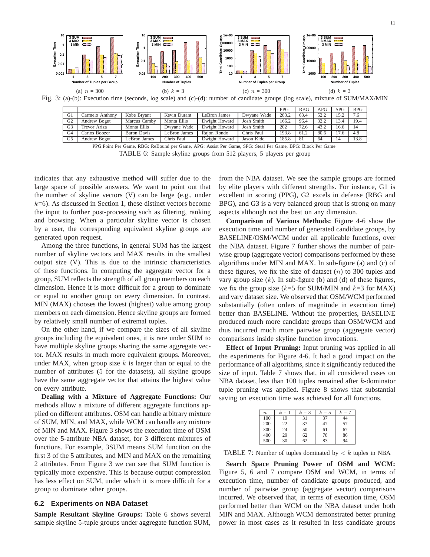

Fig. 3: (a)-(b): Execution time (seconds, log scale) and (c)-(d): number of candidate groups (log scale), mixture of SUM/MAX/MIN

|                |                 |                    |              |               |             | PPG   | <b>RBG</b> | APG  | <b>SPG</b> | <b>BPG</b> |
|----------------|-----------------|--------------------|--------------|---------------|-------------|-------|------------|------|------------|------------|
| G1             | Carmelo Anthony | Kobe Brvant        | Kevin Durant | LeBron James  | Dwyane Wade | 283.2 | 63.4       | 52.2 | 15.2       |            |
| G <sub>2</sub> | Andrew Bogut    | Marcus Camby       | Monta Ellis  | Dwight Howard | Josh Smith  | 166.2 | 96.4       | 32.2 | 13.4       | 19.4       |
| G3             | Trevor Ariza    | Monta Ellis        | Dwyane Wade  | Dwight Howard | Josh Smith  | 202   | 72.6       | 43.2 | 16.6       |            |
| G <sub>4</sub> | Carlos Boozer   | <b>Baron Davis</b> | LeBron James | Raion Rondo   | Chris Paul  | 193.8 | 61.2       | 80.6 | 17.6       | 4.8        |
| G5             | Andrew Bogut    | LeBron James       | Chris Paul   | Dwight Howard | Jason Kidd  | 185.8 | 8          | 64   | 14         | 13.8       |

PPG:Point Per Game, RBG: ReBound per Game, APG: Assist Per Game, SPG: Steal Per Game, BPG: Block Per Game TABLE 6: Sample skyline groups from 512 players, 5 players per group

indicates that any exhaustive method will suffer due to the large space of possible answers. We want to point out that the number of skyline vectors (V) can be large (e.g., under  $k=6$ ). As discussed in Section 1, these distinct vectors become the input to further post-processing such as filtering, ranking and browsing. When a particular skyline vector is chosen by a user, the corresponding equivalent skyline groups are generated upon request.

Among the three functions, in general SUM has the largest number of skyline vectors and MAX results in the smallest output size (V). This is due to the intrinsic characteristics of these functions. In computing the aggregate vector for a group, SUM reflects the strength of all group members on each dimension. Hence it is more difficult for a group to dominate or equal to another group on every dimension. In contrast, MIN (MAX) chooses the lowest (highest) value among group members on each dimension. Hence skyline groups are formed by relatively small number of extremal tuples.

On the other hand, if we compare the sizes of all skyline groups including the equivalent ones, it is rare under SUM to have multiple skyline groups sharing the same aggregate vector. MAX results in much more equivalent groups. Moreover, under MAX, when group size  $k$  is larger than or equal to the number of attributes (5 for the datasets), all skyline groups have the same aggregate vector that attains the highest value on every attribute.

**Dealing with a Mixture of Aggregate Functions:** Our methods allow a mixture of different aggregate functions applied on different attributes. OSM can handle arbitrary mixture of SUM, MIN, and MAX, while WCM can handle any mixture of MIN and MAX. Figure 3 shows the execution time of OSM over the 5-attribute NBA dataset, for 3 different mixtures of functions. For example, 3SUM means SUM function on the first 3 of the 5 attributes, and MIN and MAX on the remaining 2 attributes. From Figure 3 we can see that SUM function is typically more expensive. This is because output compression has less effect on SUM, under which it is more difficult for a group to dominate other groups.

## **6.2 Experiments on NBA Dataset**

**Sample Resultant Skyline Groups:** Table 6 shows several sample skyline 5-tuple groups under aggregate function SUM, from the NBA dataset. We see the sample groups are formed by elite players with different strengths. For instance, G1 is excellent in scoring (PPG), G2 excels in defense (RBG and BPG), and G3 is a very balanced group that is strong on many aspects although not the best on any dimension.

**Comparison of Various Methods:** Figure 4-6 show the execution time and number of generated candidate groups, by BASELINE/OSM/WCM under all applicable functions, over the NBA dataset. Figure 7 further shows the number of pairwise group (aggregate vector) comparisons performed by these algorithms under MIN and MAX. In sub-figure (a) and (c) of these figures, we fix the size of dataset  $(n)$  to 300 tuples and vary group size  $(k)$ . In sub-figure (b) and (d) of these figures, we fix the group size ( $k=5$  for SUM/MIN and  $k=3$  for MAX) and vary dataset size. We observed that OSM/WCM performed substantially (often orders of magnitude in execution time) better than BASELINE. Without the properties, BASELINE produced much more candidate groups than OSM/WCM and thus incurred much more pairwise group (aggregate vector) comparisons inside skyline function invocations.

**Effect of Input Pruning:** Input pruning was applied in all the experiments for Figure 4-6. It had a good impact on the performance of all algorithms, since it significantly reduced the size of input. Table 7 shows that, in all considered cases on NBA dataset, less than 100 tuples remained after k-dominator tuple pruning was applied. Figure 8 shows that substantial saving on execution time was achieved for all functions.

| $\boldsymbol{n}$ | κ<br>$=$ | $k = 3$ | $k=5$ | $\equiv$ |
|------------------|----------|---------|-------|----------|
| 100              | 19       | 31      | 37    |          |
| 200              | 22       | 37      | 47    | 57       |
| 300              | 24       | 50      | 61    | 67       |
| 400              | 29       | 62      | 78    | 86       |
| 500              | 30       | 62      | 83    | 94       |

TABLE 7: Number of tuples dominated by  $\lt k$  tuples in NBA

**Search Space Pruning Power of OSM and WCM:** Figure 5, 6 and 7 compare OSM and WCM, in terms of execution time, number of candidate groups produced, and number of pairwise group (aggregate vector) comparisons incurred. We observed that, in terms of execution time, OSM performed better than WCM on the NBA dataset under both MIN and MAX. Although WCM demonstrated better pruning power in most cases as it resulted in less candidate groups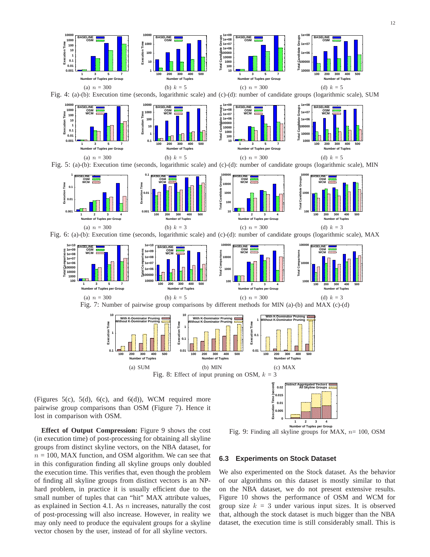

(Figures 5(c), 5(d),  $6(c)$ , and  $6(d)$ ), WCM required more pairwise group comparisons than OSM (Figure 7). Hence it lost in comparison with OSM.

**1 2 3 4 Number of Tuples per Group** Fig. 9: Finding all skyline groups for MAX,  $n=100$ , OSM

**Effect of Output Compression:** Figure 9 shows the cost (in execution time) of post-processing for obtaining all skyline groups from distinct skyline vectors, on the NBA dataset, for  $n = 100$ , MAX function, and OSM algorithm. We can see that in this configuration finding all skyline groups only doubled the execution time. This verifies that, even though the problem of finding all skyline groups from distinct vectors is an NPhard problem, in practice it is usually efficient due to the small number of tuples that can "hit" MAX attribute values, as explained in Section 4.1. As  $n$  increases, naturally the cost of post-processing will also increase. However, in reality we may only need to produce the equivalent groups for a skyline vector chosen by the user, instead of for all skyline vectors.

### **6.3 Experiments on Stock Dataset**

 **0 0.005 0.01**

Ě

We also experimented on the Stock dataset. As the behavior of our algorithms on this dataset is mostly similar to that on the NBA dataset, we do not present extensive results. Figure 10 shows the performance of OSM and WCM for group size  $k = 3$  under various input sizes. It is observed that, although the stock dataset is much bigger than the NBA dataset, the execution time is still considerably small. This is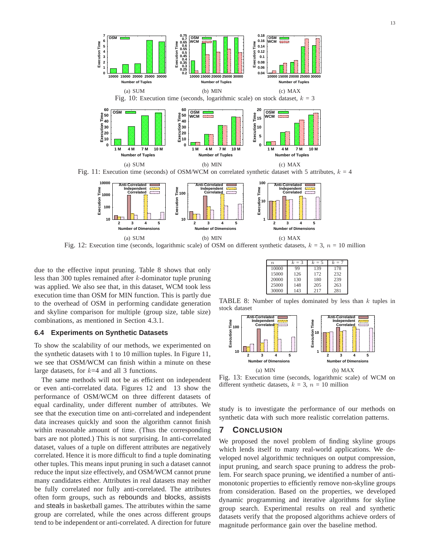

Fig. 12: Execution time (seconds, logarithmic scale) of OSM on different synthetic datasets,  $k = 3$ ,  $n = 10$  million

due to the effective input pruning. Table 8 shows that only less than 300 tuples remained after k-dominator tuple pruning was applied. We also see that, in this dataset, WCM took less execution time than OSM for MIN function. This is partly due to the overhead of OSM in performing candidate generation and skyline comparison for multiple (group size, table size) combinations, as mentioned in Section 4.3.1.

# **6.4 Experiments on Synthetic Datasets**

To show the scalability of our methods, we experimented on the synthetic datasets with 1 to 10 million tuples. In Figure 11, we see that OSM/WCM can finish within a minute on these large datasets, for  $k=4$  and all 3 functions.

The same methods will not be as efficient on independent or even anti-correlated data. Figures 12 and 13 show the performance of OSM/WCM on three different datasets of equal cardinality, under different number of attributes. We see that the execution time on anti-correlated and independent data increases quickly and soon the algorithm cannot finish within reasonable amount of time. (Thus the corresponding bars are not plotted.) This is not surprising. In anti-correlated dataset, values of a tuple on different attributes are negatively correlated. Hence it is more difficult to find a tuple dominating other tuples. This means input pruning in such a dataset cannot reduce the input size effectively, and OSM/WCM cannot prune many candidates either. Attributes in real datasets may neither be fully correlated nor fully anti-correlated. The attributes often form groups, such as rebounds and blocks, assists and steals in basketball games. The attributes within the same group are correlated, while the ones across different groups tend to be independent or anti-correlated. A direction for future

| $\boldsymbol{n}$ | $\kappa = 3$ | $k=5$ | $k = 7$ |
|------------------|--------------|-------|---------|
| 10000            | 99           | 139   | 178     |
| 15000            | 126          |       | 232     |
|                  |              | 172   |         |
| 20000            | 130          | 180   | 239     |
| 25000            | 148          | 205   | 263     |
| 30000            | 143          | 217   | 281     |

TABLE 8: Number of tuples dominated by less than  $k$  tuples in stock dataset



Fig. 13: Execution time (seconds, logarithmic scale) of WCM on different synthetic datasets,  $k = 3$ ,  $n = 10$  million

study is to investigate the performance of our methods on synthetic data with such more realistic correlation patterns.

# **7 CONCLUSION**

We proposed the novel problem of finding skyline groups which lends itself to many real-world applications. We developed novel algorithmic techniques on output compression, input pruning, and search space pruning to address the problem. For search space pruning, we identified a number of antimonotonic properties to efficiently remove non-skyline groups from consideration. Based on the properties, we developed dynamic programming and iterative algorithms for skyline group search. Experimental results on real and synthetic datasets verify that the proposed algorithms achieve orders of magnitude performance gain over the baseline method.